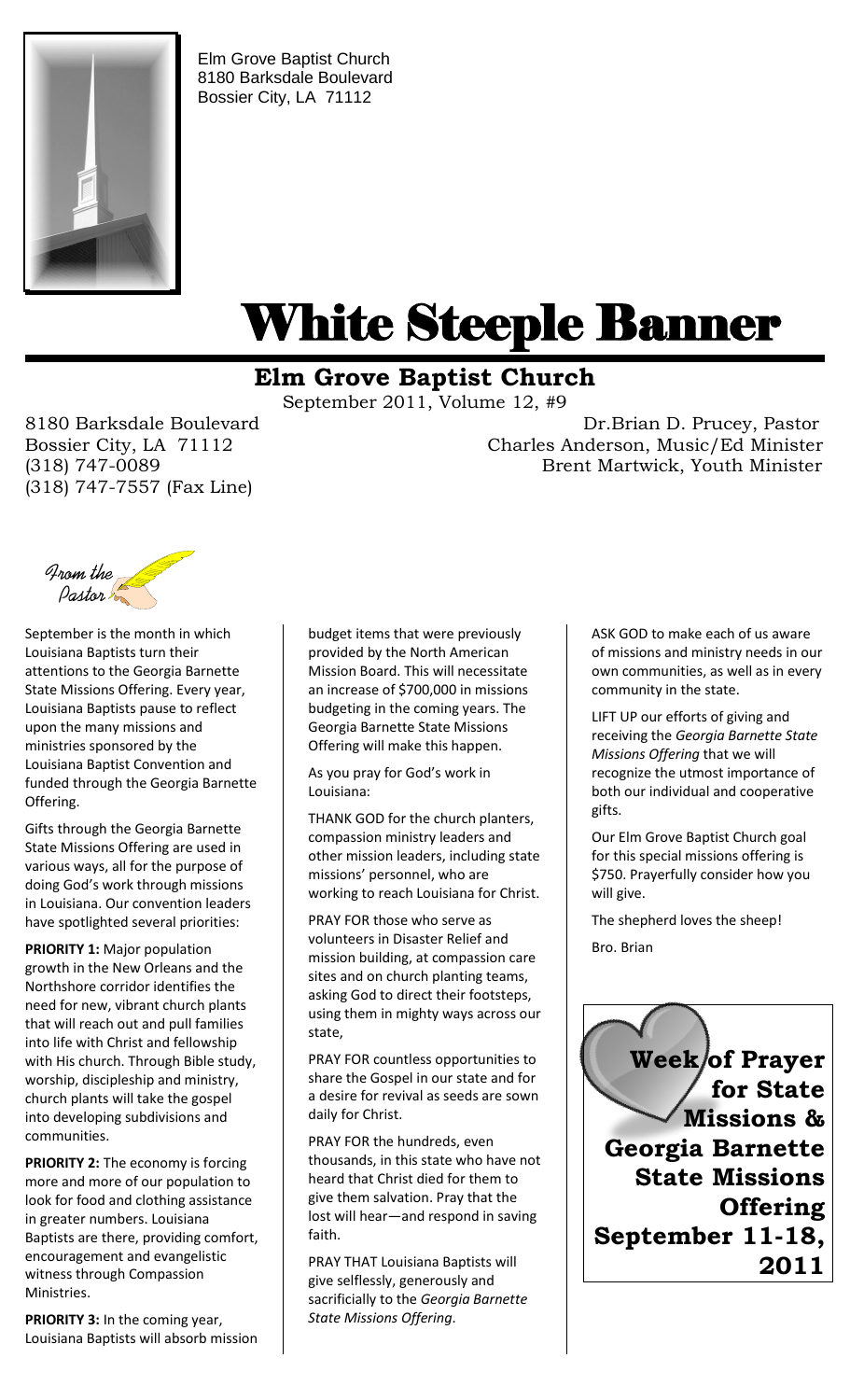

Elm Grove Baptist Church 8180 Barksdale Boulevard Bossier City, LA 71112

# White Steeple Banner ı

## **Elm Grove Baptist Church**

September 2011, Volume 12, #9

(318) 747-7557 (Fax Line)

8180 Barksdale Boulevard Dr.Brian D. Prucey, Pastor Bossier City, LA 71112 Charles Anderson, Music/Ed Minister (318) 747-0089 Brent Martwick, Youth Minister



September is the month in which Louisiana Baptists turn their attentions to the Georgia Barnette State Missions Offering. Every year, Louisiana Baptists pause to reflect upon the many missions and ministries sponsored by the Louisiana Baptist Convention and funded through the Georgia Barnette Offering.

Gifts through the Georgia Barnette State Missions Offering are used in various ways, all for the purpose of doing God's work through missions in Louisiana. Our convention leaders have spotlighted several priorities:

**PRIORITY 1:** Major population growth in the New Orleans and the Northshore corridor identifies the need for new, vibrant church plants that will reach out and pull families into life with Christ and fellowship with His church. Through Bible study, worship, discipleship and ministry, church plants will take the gospel into developing subdivisions and communities.

**PRIORITY 2:** The economy is forcing more and more of our population to look for food and clothing assistance in greater numbers. Louisiana Baptists are there, providing comfort, encouragement and evangelistic witness through Compassion Ministries.

**PRIORITY 3:** In the coming year, Louisiana Baptists will absorb mission budget items that were previously provided by the North American Mission Board. This will necessitate an increase of \$700,000 in missions budgeting in the coming years. The Georgia Barnette State Missions Offering will make this happen.

As you pray for God's work in Louisiana:

THANK GOD for the church planters, compassion ministry leaders and other mission leaders, including state missions' personnel, who are working to reach Louisiana for Christ.

PRAY FOR those who serve as volunteers in Disaster Relief and mission building, at compassion care sites and on church planting teams, asking God to direct their footsteps, using them in mighty ways across our state,

PRAY FOR countless opportunities to share the Gospel in our state and for a desire for revival as seeds are sown daily for Christ.

PRAY FOR the hundreds, even thousands, in this state who have not heard that Christ died for them to give them salvation. Pray that the lost will hear—and respond in saving faith.

PRAY THAT Louisiana Baptists will give selflessly, generously and sacrificially to the *Georgia Barnette State Missions Offering*.

ASK GOD to make each of us aware of missions and ministry needs in our own communities, as well as in every community in the state.

LIFT UP our efforts of giving and receiving the *Georgia Barnette State Missions Offering* that we will recognize the utmost importance of both our individual and cooperative gifts.

Our Elm Grove Baptist Church goal for this special missions offering is \$750. Prayerfully consider how you will give.

The shepherd loves the sheep! Bro. Brian

 **Week of Prayer for State Missions & Georgia Barnette State Missions Offering September 11-18, 2011**